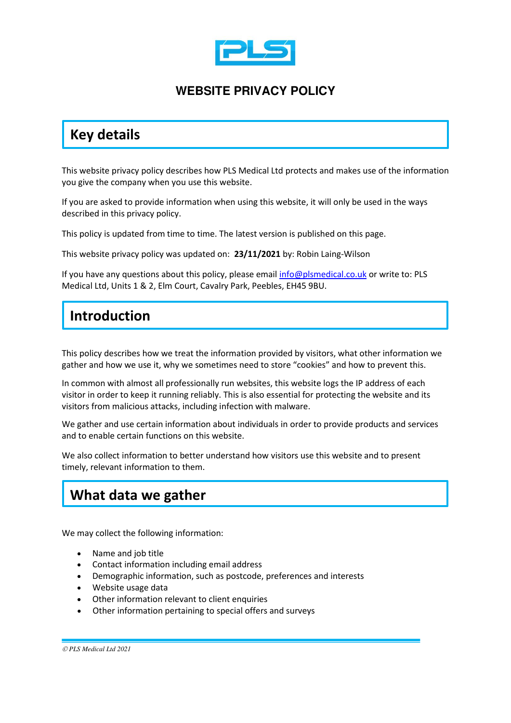

### **WEBSITE PRIVACY POLICY**

## **Key details**

This website privacy policy describes how PLS Medical Ltd protects and makes use of the information you give the company when you use this website.

If you are asked to provide information when using this website, it will only be used in the ways described in this privacy policy.

This policy is updated from time to time. The latest version is published on this page.

This website privacy policy was updated on: **23/11/2021** by: Robin Laing-Wilson

If you have any questions about this policy, please emai[l info@plsmedical.co.uk](mailto:info@plsmedical.co.uk) or write to: PLS Medical Ltd, Units 1 & 2, Elm Court, Cavalry Park, Peebles, EH45 9BU.

## **Introduction**

This policy describes how we treat the information provided by visitors, what other information we gather and how we use it, why we sometimes need to store "cookies" and how to prevent this.

In common with almost all professionally run websites, this website logs the IP address of each visitor in order to keep it running reliably. This is also essential for protecting the website and its visitors from malicious attacks, including infection with malware.

We gather and use certain information about individuals in order to provide products and services and to enable certain functions on this website.

We also collect information to better understand how visitors use this website and to present timely, relevant information to them.

## **What data we gather**

We may collect the following information:

- Name and job title
- Contact information including email address
- Demographic information, such as postcode, preferences and interests
- Website usage data
- Other information relevant to client enquiries
- Other information pertaining to special offers and surveys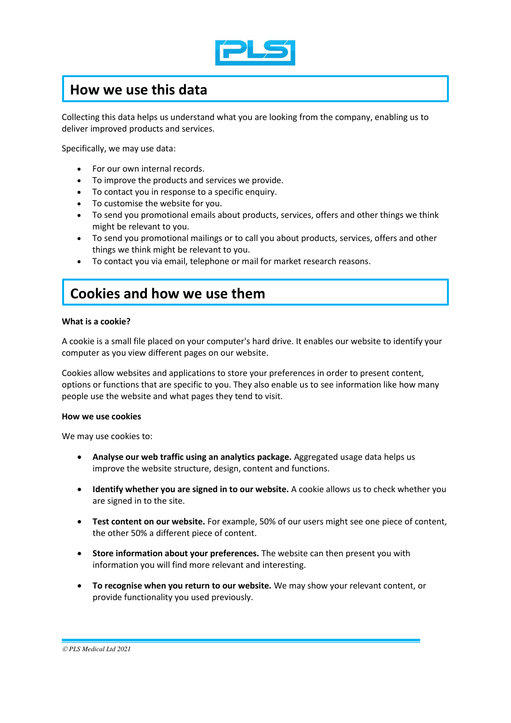

### **How we use this data**

Collecting this data helps us understand what you are looking from the company, enabling us to deliver improved products and services.

Specifically, we may use data:

- For our own internal records.
- To improve the products and services we provide.
- To contact you in response to a specific enquiry.
- To customise the website for you.
- To send you promotional emails about products, services, offers and other things we think might be relevant to you.
- To send you promotional mailings or to call you about products, services, offers and other things we think might be relevant to you.
- To contact you via email, telephone or mail for market research reasons.

### **Cookies and how we use them**

#### **What is a cookie?**

A cookie is a small file placed on your computer's hard drive. It enables our website to identify your computer as you view different pages on our website.

Cookies allow websites and applications to store your preferences in order to present content, options or functions that are specific to you. They also enable us to see information like how many people use the website and what pages they tend to visit.

#### **How we use cookies**

We may use cookies to:

- **Analyse our web traffic using an analytics package.** Aggregated usage data helps us improve the website structure, design, content and functions.
- **Identify whether you are signed in to our website.** A cookie allows us to check whether you are signed in to the site.
- **Test content on our website.** For example, 50% of our users might see one piece of content, the other 50% a different piece of content.
- **Store information about your preferences.** The website can then present you with information you will find more relevant and interesting.
- **To recognise when you return to our website.** We may show your relevant content, or provide functionality you used previously.

© *PLS Medical Ltd 2021*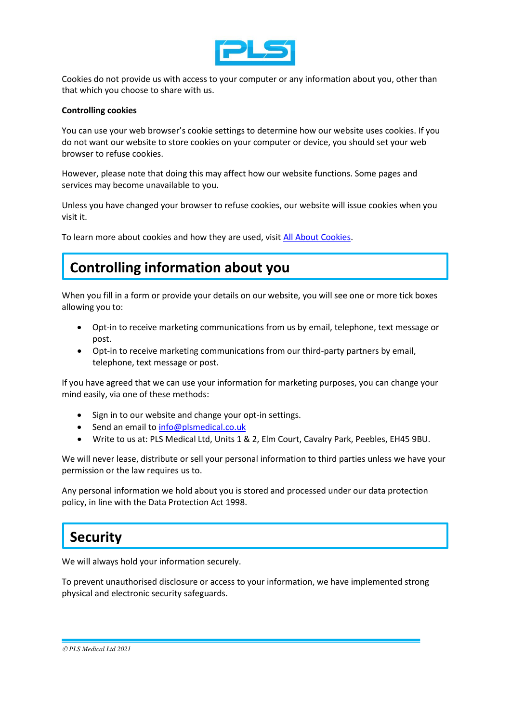

Cookies do not provide us with access to your computer or any information about you, other than that which you choose to share with us.

#### **Controlling cookies**

You can use your web browser's cookie settings to determine how our website uses cookies. If you do not want our website to store cookies on your computer or device, you should set your web browser to refuse cookies.

However, please note that doing this may affect how our website functions. Some pages and services may become unavailable to you.

Unless you have changed your browser to refuse cookies, our website will issue cookies when you visit it.

To learn more about cookies and how they are used, visit [All About Cookies.](http://www.allaboutcookies.org/)

# **Controlling information about you**

When you fill in a form or provide your details on our website, you will see one or more tick boxes allowing you to:

- Opt-in to receive marketing communications from us by email, telephone, text message or post.
- Opt-in to receive marketing communications from our third-party partners by email, telephone, text message or post.

If you have agreed that we can use your information for marketing purposes, you can change your mind easily, via one of these methods:

- Sign in to our website and change your opt-in settings.
- Send an email to [info@plsmedical.co.uk](mailto:info@plsmedical.co.uk)
- Write to us at: PLS Medical Ltd, Units 1 & 2, Elm Court, Cavalry Park, Peebles, EH45 9BU.

We will never lease, distribute or sell your personal information to third parties unless we have your permission or the law requires us to.

Any personal information we hold about you is stored and processed under our data protection policy, in line with the Data Protection Act 1998.

### **Security**

We will always hold your information securely.

To prevent unauthorised disclosure or access to your information, we have implemented strong physical and electronic security safeguards.

© *PLS Medical Ltd 2021*